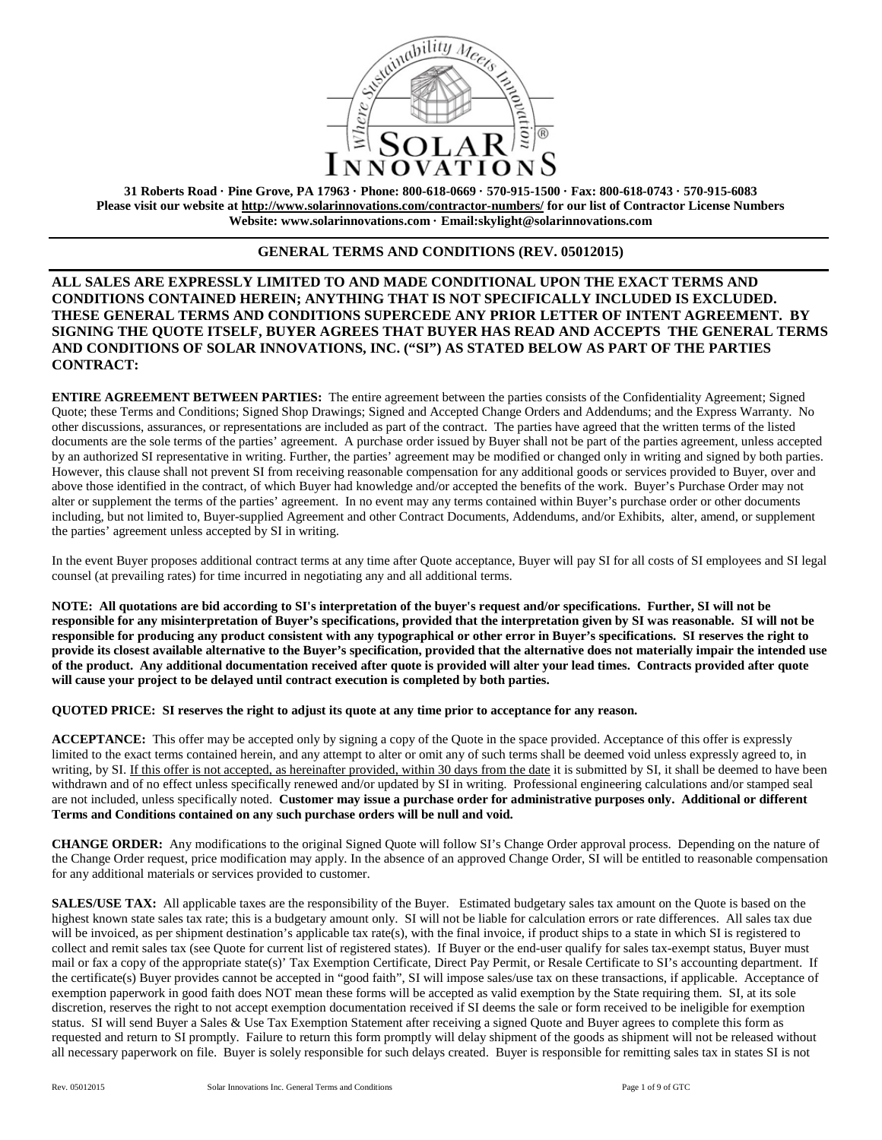

**31 Roberts Road · Pine Grove, PA 17963 · Phone: 800-618-0669 · 570-915-1500 · Fax: 800-618-0743 · 570-915-6083 Please visit our website at<http://www.solarinnovations.com/contractor-numbers/> for our list of Contractor License Numbers Website: [www.solarinnovations.com](http://www.solarinnovations.com/) · Email:skylight@solarinnovations.com**

## **GENERAL TERMS AND CONDITIONS (REV. 05012015)**

# **ALL SALES ARE EXPRESSLY LIMITED TO AND MADE CONDITIONAL UPON THE EXACT TERMS AND CONDITIONS CONTAINED HEREIN; ANYTHING THAT IS NOT SPECIFICALLY INCLUDED IS EXCLUDED. THESE GENERAL TERMS AND CONDITIONS SUPERCEDE ANY PRIOR LETTER OF INTENT AGREEMENT. BY SIGNING THE QUOTE ITSELF, BUYER AGREES THAT BUYER HAS READ AND ACCEPTS THE GENERAL TERMS AND CONDITIONS OF SOLAR INNOVATIONS, INC. ("SI") AS STATED BELOW AS PART OF THE PARTIES CONTRACT:**

**ENTIRE AGREEMENT BETWEEN PARTIES:** The entire agreement between the parties consists of the Confidentiality Agreement; Signed Quote; these Terms and Conditions; Signed Shop Drawings; Signed and Accepted Change Orders and Addendums; and the Express Warranty. No other discussions, assurances, or representations are included as part of the contract. The parties have agreed that the written terms of the listed documents are the sole terms of the parties' agreement. A purchase order issued by Buyer shall not be part of the parties agreement, unless accepted by an authorized SI representative in writing. Further, the parties' agreement may be modified or changed only in writing and signed by both parties. However, this clause shall not prevent SI from receiving reasonable compensation for any additional goods or services provided to Buyer, over and above those identified in the contract, of which Buyer had knowledge and/or accepted the benefits of the work. Buyer's Purchase Order may not alter or supplement the terms of the parties' agreement. In no event may any terms contained within Buyer's purchase order or other documents including, but not limited to, Buyer-supplied Agreement and other Contract Documents, Addendums, and/or Exhibits, alter, amend, or supplement the parties' agreement unless accepted by SI in writing.

In the event Buyer proposes additional contract terms at any time after Quote acceptance, Buyer will pay SI for all costs of SI employees and SI legal counsel (at prevailing rates) for time incurred in negotiating any and all additional terms.

**NOTE: All quotations are bid according to SI's interpretation of the buyer's request and/or specifications. Further, SI will not be responsible for any misinterpretation of Buyer's specifications, provided that the interpretation given by SI was reasonable. SI will not be responsible for producing any product consistent with any typographical or other error in Buyer's specifications. SI reserves the right to provide its closest available alternative to the Buyer's specification, provided that the alternative does not materially impair the intended use of the product. Any additional documentation received after quote is provided will alter your lead times. Contracts provided after quote will cause your project to be delayed until contract execution is completed by both parties.** 

#### **QUOTED PRICE: SI reserves the right to adjust its quote at any time prior to acceptance for any reason.**

**ACCEPTANCE:** This offer may be accepted only by signing a copy of the Quote in the space provided. Acceptance of this offer is expressly limited to the exact terms contained herein, and any attempt to alter or omit any of such terms shall be deemed void unless expressly agreed to, in writing, by SI. If this offer is not accepted, as hereinafter provided, within 30 days from the date it is submitted by SI, it shall be deemed to have been withdrawn and of no effect unless specifically renewed and/or updated by SI in writing. Professional engineering calculations and/or stamped seal are not included, unless specifically noted. **Customer may issue a purchase order for administrative purposes only. Additional or different Terms and Conditions contained on any such purchase orders will be null and void.**

**CHANGE ORDER:** Any modifications to the original Signed Quote will follow SI's Change Order approval process. Depending on the nature of the Change Order request, price modification may apply. In the absence of an approved Change Order, SI will be entitled to reasonable compensation for any additional materials or services provided to customer.

**SALES/USE TAX:** All applicable taxes are the responsibility of the Buyer. Estimated budgetary sales tax amount on the Quote is based on the highest known state sales tax rate; this is a budgetary amount only. SI will not be liable for calculation errors or rate differences. All sales tax due will be invoiced, as per shipment destination's applicable tax rate(s), with the final invoice, if product ships to a state in which SI is registered to collect and remit sales tax (see Quote for current list of registered states). If Buyer or the end-user qualify for sales tax-exempt status, Buyer must mail or fax a copy of the appropriate state(s)' Tax Exemption Certificate, Direct Pay Permit, or Resale Certificate to SI's accounting department. If the certificate(s) Buyer provides cannot be accepted in "good faith", SI will impose sales/use tax on these transactions, if applicable. Acceptance of exemption paperwork in good faith does NOT mean these forms will be accepted as valid exemption by the State requiring them. SI, at its sole discretion, reserves the right to not accept exemption documentation received if SI deems the sale or form received to be ineligible for exemption status. SI will send Buyer a Sales & Use Tax Exemption Statement after receiving a signed Quote and Buyer agrees to complete this form as requested and return to SI promptly. Failure to return this form promptly will delay shipment of the goods as shipment will not be released without all necessary paperwork on file. Buyer is solely responsible for such delays created. Buyer is responsible for remitting sales tax in states SI is not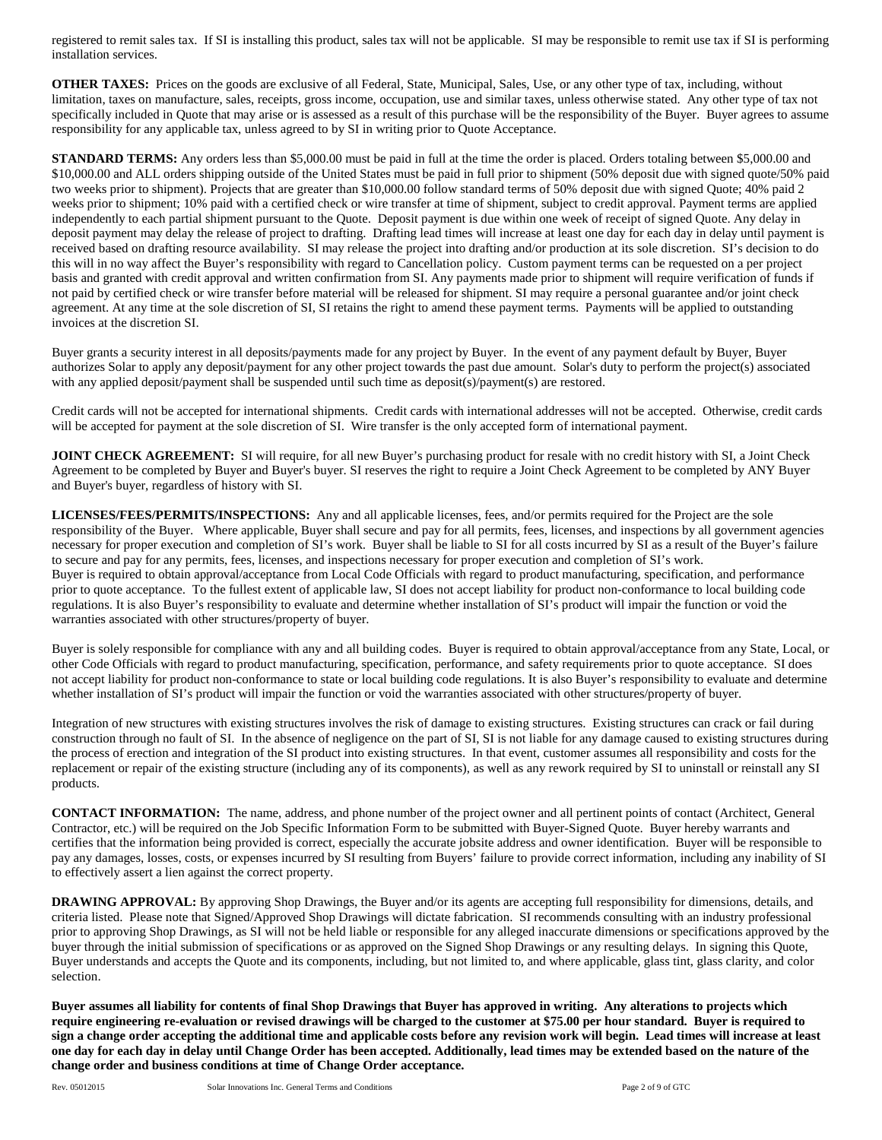registered to remit sales tax. If SI is installing this product, sales tax will not be applicable. SI may be responsible to remit use tax if SI is performing installation services.

**OTHER TAXES:** Prices on the goods are exclusive of all Federal, State, Municipal, Sales, Use, or any other type of tax, including, without limitation, taxes on manufacture, sales, receipts, gross income, occupation, use and similar taxes, unless otherwise stated. Any other type of tax not specifically included in Quote that may arise or is assessed as a result of this purchase will be the responsibility of the Buyer. Buyer agrees to assume responsibility for any applicable tax, unless agreed to by SI in writing prior to Quote Acceptance.

**STANDARD TERMS:** Any orders less than \$5,000.00 must be paid in full at the time the order is placed. Orders totaling between \$5,000.00 and \$10,000.00 and ALL orders shipping outside of the United States must be paid in full prior to shipment (50% deposit due with signed quote/50% paid two weeks prior to shipment). Projects that are greater than \$10,000.00 follow standard terms of 50% deposit due with signed Quote; 40% paid 2 weeks prior to shipment; 10% paid with a certified check or wire transfer at time of shipment, subject to credit approval. Payment terms are applied independently to each partial shipment pursuant to the Quote. Deposit payment is due within one week of receipt of signed Quote. Any delay in deposit payment may delay the release of project to drafting. Drafting lead times will increase at least one day for each day in delay until payment is received based on drafting resource availability. SI may release the project into drafting and/or production at its sole discretion. SI's decision to do this will in no way affect the Buyer's responsibility with regard to Cancellation policy. Custom payment terms can be requested on a per project basis and granted with credit approval and written confirmation from SI. Any payments made prior to shipment will require verification of funds if not paid by certified check or wire transfer before material will be released for shipment. SI may require a personal guarantee and/or joint check agreement. At any time at the sole discretion of SI, SI retains the right to amend these payment terms. Payments will be applied to outstanding invoices at the discretion SI.

Buyer grants a security interest in all deposits/payments made for any project by Buyer. In the event of any payment default by Buyer, Buyer authorizes Solar to apply any deposit/payment for any other project towards the past due amount. Solar's duty to perform the project(s) associated with any applied deposit/payment shall be suspended until such time as deposit(s)/payment(s) are restored.

Credit cards will not be accepted for international shipments. Credit cards with international addresses will not be accepted. Otherwise, credit cards will be accepted for payment at the sole discretion of SI. Wire transfer is the only accepted form of international payment.

**JOINT CHECK AGREEMENT:** SI will require, for all new Buyer's purchasing product for resale with no credit history with SI, a Joint Check Agreement to be completed by Buyer and Buyer's buyer. SI reserves the right to require a Joint Check Agreement to be completed by ANY Buyer and Buyer's buyer, regardless of history with SI.

**LICENSES/FEES/PERMITS/INSPECTIONS:** Any and all applicable licenses, fees, and/or permits required for the Project are the sole responsibility of the Buyer. Where applicable, Buyer shall secure and pay for all permits, fees, licenses, and inspections by all government agencies necessary for proper execution and completion of SI's work. Buyer shall be liable to SI for all costs incurred by SI as a result of the Buyer's failure to secure and pay for any permits, fees, licenses, and inspections necessary for proper execution and completion of SI's work. Buyer is required to obtain approval/acceptance from Local Code Officials with regard to product manufacturing, specification, and performance prior to quote acceptance. To the fullest extent of applicable law, SI does not accept liability for product non-conformance to local building code regulations. It is also Buyer's responsibility to evaluate and determine whether installation of SI's product will impair the function or void the warranties associated with other structures/property of buyer.

Buyer is solely responsible for compliance with any and all building codes. Buyer is required to obtain approval/acceptance from any State, Local, or other Code Officials with regard to product manufacturing, specification, performance, and safety requirements prior to quote acceptance. SI does not accept liability for product non-conformance to state or local building code regulations. It is also Buyer's responsibility to evaluate and determine whether installation of SI's product will impair the function or void the warranties associated with other structures/property of buyer.

Integration of new structures with existing structures involves the risk of damage to existing structures. Existing structures can crack or fail during construction through no fault of SI. In the absence of negligence on the part of SI, SI is not liable for any damage caused to existing structures during the process of erection and integration of the SI product into existing structures. In that event, customer assumes all responsibility and costs for the replacement or repair of the existing structure (including any of its components), as well as any rework required by SI to uninstall or reinstall any SI products.

**CONTACT INFORMATION:** The name, address, and phone number of the project owner and all pertinent points of contact (Architect, General Contractor, etc.) will be required on the Job Specific Information Form to be submitted with Buyer-Signed Quote. Buyer hereby warrants and certifies that the information being provided is correct, especially the accurate jobsite address and owner identification. Buyer will be responsible to pay any damages, losses, costs, or expenses incurred by SI resulting from Buyers' failure to provide correct information, including any inability of SI to effectively assert a lien against the correct property.

**DRAWING APPROVAL:** By approving Shop Drawings, the Buyer and/or its agents are accepting full responsibility for dimensions, details, and criteria listed. Please note that Signed/Approved Shop Drawings will dictate fabrication. SI recommends consulting with an industry professional prior to approving Shop Drawings, as SI will not be held liable or responsible for any alleged inaccurate dimensions or specifications approved by the buyer through the initial submission of specifications or as approved on the Signed Shop Drawings or any resulting delays. In signing this Quote, Buyer understands and accepts the Quote and its components, including, but not limited to, and where applicable, glass tint, glass clarity, and color selection.

**Buyer assumes all liability for contents of final Shop Drawings that Buyer has approved in writing. Any alterations to projects which require engineering re-evaluation or revised drawings will be charged to the customer at \$75.00 per hour standard. Buyer is required to sign a change order accepting the additional time and applicable costs before any revision work will begin. Lead times will increase at least one day for each day in delay until Change Order has been accepted. Additionally, lead times may be extended based on the nature of the change order and business conditions at time of Change Order acceptance.**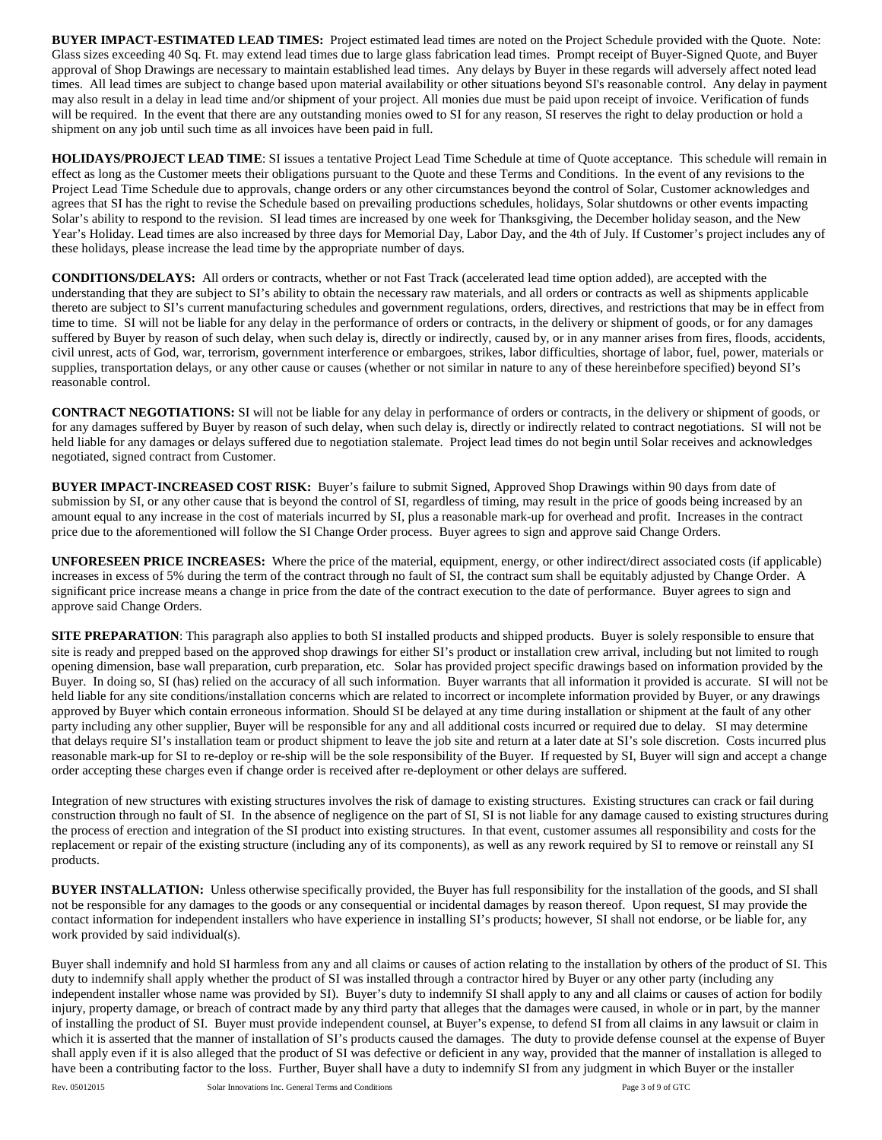**BUYER IMPACT**-**ESTIMATED LEAD TIMES:** Project estimated lead times are noted on the Project Schedule provided with the Quote. Note: Glass sizes exceeding 40 Sq. Ft. may extend lead times due to large glass fabrication lead times. Prompt receipt of Buyer-Signed Quote, and Buyer approval of Shop Drawings are necessary to maintain established lead times. Any delays by Buyer in these regards will adversely affect noted lead times. All lead times are subject to change based upon material availability or other situations beyond SI's reasonable control. Any delay in payment may also result in a delay in lead time and/or shipment of your project. All monies due must be paid upon receipt of invoice. Verification of funds will be required. In the event that there are any outstanding monies owed to SI for any reason, SI reserves the right to delay production or hold a shipment on any job until such time as all invoices have been paid in full.

**HOLIDAYS/PROJECT LEAD TIME**: SI issues a tentative Project Lead Time Schedule at time of Quote acceptance. This schedule will remain in effect as long as the Customer meets their obligations pursuant to the Quote and these Terms and Conditions. In the event of any revisions to the Project Lead Time Schedule due to approvals, change orders or any other circumstances beyond the control of Solar, Customer acknowledges and agrees that SI has the right to revise the Schedule based on prevailing productions schedules, holidays, Solar shutdowns or other events impacting Solar's ability to respond to the revision. SI lead times are increased by one week for Thanksgiving, the December holiday season, and the New Year's Holiday. Lead times are also increased by three days for Memorial Day, Labor Day, and the 4th of July. If Customer's project includes any of these holidays, please increase the lead time by the appropriate number of days.

**CONDITIONS/DELAYS:** All orders or contracts, whether or not Fast Track (accelerated lead time option added), are accepted with the understanding that they are subject to SI's ability to obtain the necessary raw materials, and all orders or contracts as well as shipments applicable thereto are subject to SI's current manufacturing schedules and government regulations, orders, directives, and restrictions that may be in effect from time to time. SI will not be liable for any delay in the performance of orders or contracts, in the delivery or shipment of goods, or for any damages suffered by Buyer by reason of such delay, when such delay is, directly or indirectly, caused by, or in any manner arises from fires, floods, accidents, civil unrest, acts of God, war, terrorism, government interference or embargoes, strikes, labor difficulties, shortage of labor, fuel, power, materials or supplies, transportation delays, or any other cause or causes (whether or not similar in nature to any of these hereinbefore specified) beyond SI's reasonable control.

**CONTRACT NEGOTIATIONS:** SI will not be liable for any delay in performance of orders or contracts, in the delivery or shipment of goods, or for any damages suffered by Buyer by reason of such delay, when such delay is, directly or indirectly related to contract negotiations. SI will not be held liable for any damages or delays suffered due to negotiation stalemate. Project lead times do not begin until Solar receives and acknowledges negotiated, signed contract from Customer.

**BUYER IMPACT-INCREASED COST RISK:** Buyer's failure to submit Signed, Approved Shop Drawings within 90 days from date of submission by SI, or any other cause that is beyond the control of SI, regardless of timing, may result in the price of goods being increased by an amount equal to any increase in the cost of materials incurred by SI, plus a reasonable mark-up for overhead and profit. Increases in the contract price due to the aforementioned will follow the SI Change Order process. Buyer agrees to sign and approve said Change Orders.

**UNFORESEEN PRICE INCREASES:** Where the price of the material, equipment, energy, or other indirect/direct associated costs (if applicable) increases in excess of 5% during the term of the contract through no fault of SI, the contract sum shall be equitably adjusted by Change Order. A significant price increase means a change in price from the date of the contract execution to the date of performance. Buyer agrees to sign and approve said Change Orders.

**SITE PREPARATION:** This paragraph also applies to both SI installed products and shipped products. Buyer is solely responsible to ensure that site is ready and prepped based on the approved shop drawings for either SI's product or installation crew arrival, including but not limited to rough opening dimension, base wall preparation, curb preparation, etc. Solar has provided project specific drawings based on information provided by the Buyer. In doing so, SI (has) relied on the accuracy of all such information. Buyer warrants that all information it provided is accurate. SI will not be held liable for any site conditions/installation concerns which are related to incorrect or incomplete information provided by Buyer, or any drawings approved by Buyer which contain erroneous information. Should SI be delayed at any time during installation or shipment at the fault of any other party including any other supplier, Buyer will be responsible for any and all additional costs incurred or required due to delay. SI may determine that delays require SI's installation team or product shipment to leave the job site and return at a later date at SI's sole discretion. Costs incurred plus reasonable mark-up for SI to re-deploy or re-ship will be the sole responsibility of the Buyer. If requested by SI, Buyer will sign and accept a change order accepting these charges even if change order is received after re-deployment or other delays are suffered.

Integration of new structures with existing structures involves the risk of damage to existing structures. Existing structures can crack or fail during construction through no fault of SI. In the absence of negligence on the part of SI, SI is not liable for any damage caused to existing structures during the process of erection and integration of the SI product into existing structures. In that event, customer assumes all responsibility and costs for the replacement or repair of the existing structure (including any of its components), as well as any rework required by SI to remove or reinstall any SI products.

**BUYER INSTALLATION:** Unless otherwise specifically provided, the Buyer has full responsibility for the installation of the goods, and SI shall not be responsible for any damages to the goods or any consequential or incidental damages by reason thereof. Upon request, SI may provide the contact information for independent installers who have experience in installing SI's products; however, SI shall not endorse, or be liable for, any work provided by said individual(s).

Buyer shall indemnify and hold SI harmless from any and all claims or causes of action relating to the installation by others of the product of SI. This duty to indemnify shall apply whether the product of SI was installed through a contractor hired by Buyer or any other party (including any independent installer whose name was provided by SI). Buyer's duty to indemnify SI shall apply to any and all claims or causes of action for bodily injury, property damage, or breach of contract made by any third party that alleges that the damages were caused, in whole or in part, by the manner of installing the product of SI. Buyer must provide independent counsel, at Buyer's expense, to defend SI from all claims in any lawsuit or claim in which it is asserted that the manner of installation of SI's products caused the damages. The duty to provide defense counsel at the expense of Buyer shall apply even if it is also alleged that the product of SI was defective or deficient in any way, provided that the manner of installation is alleged to have been a contributing factor to the loss. Further, Buyer shall have a duty to indemnify SI from any judgment in which Buyer or the installer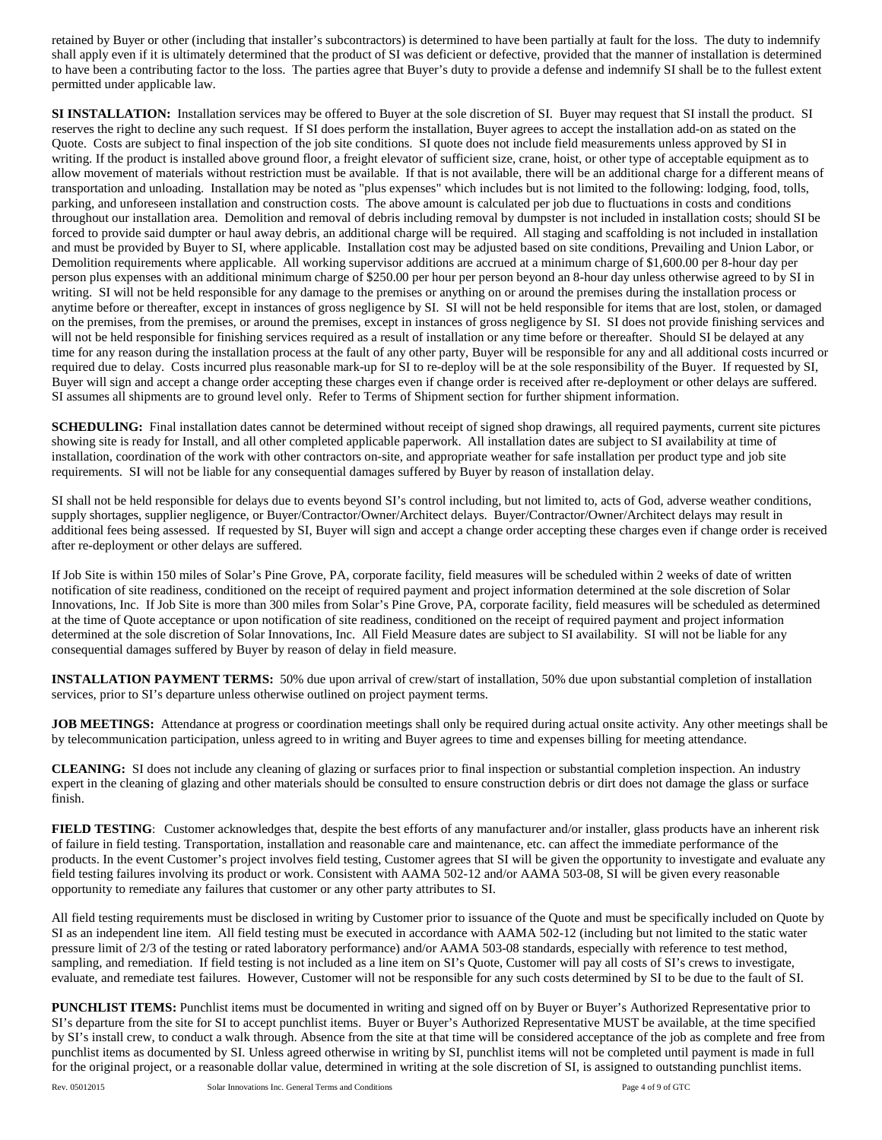retained by Buyer or other (including that installer's subcontractors) is determined to have been partially at fault for the loss. The duty to indemnify shall apply even if it is ultimately determined that the product of SI was deficient or defective, provided that the manner of installation is determined to have been a contributing factor to the loss. The parties agree that Buyer's duty to provide a defense and indemnify SI shall be to the fullest extent permitted under applicable law.

**SI INSTALLATION:** Installation services may be offered to Buyer at the sole discretion of SI. Buyer may request that SI install the product. SI reserves the right to decline any such request. If SI does perform the installation, Buyer agrees to accept the installation add-on as stated on the Quote. Costs are subject to final inspection of the job site conditions. SI quote does not include field measurements unless approved by SI in writing. If the product is installed above ground floor, a freight elevator of sufficient size, crane, hoist, or other type of acceptable equipment as to allow movement of materials without restriction must be available. If that is not available, there will be an additional charge for a different means of transportation and unloading. Installation may be noted as "plus expenses" which includes but is not limited to the following: lodging, food, tolls, parking, and unforeseen installation and construction costs. The above amount is calculated per job due to fluctuations in costs and conditions throughout our installation area. Demolition and removal of debris including removal by dumpster is not included in installation costs; should SI be forced to provide said dumpter or haul away debris, an additional charge will be required. All staging and scaffolding is not included in installation and must be provided by Buyer to SI, where applicable. Installation cost may be adjusted based on site conditions, Prevailing and Union Labor, or Demolition requirements where applicable. All working supervisor additions are accrued at a minimum charge of \$1,600.00 per 8-hour day per person plus expenses with an additional minimum charge of \$250.00 per hour per person beyond an 8-hour day unless otherwise agreed to by SI in writing. SI will not be held responsible for any damage to the premises or anything on or around the premises during the installation process or anytime before or thereafter, except in instances of gross negligence by SI. SI will not be held responsible for items that are lost, stolen, or damaged on the premises, from the premises, or around the premises, except in instances of gross negligence by SI. SI does not provide finishing services and will not be held responsible for finishing services required as a result of installation or any time before or thereafter. Should SI be delayed at any time for any reason during the installation process at the fault of any other party, Buyer will be responsible for any and all additional costs incurred or required due to delay. Costs incurred plus reasonable mark-up for SI to re-deploy will be at the sole responsibility of the Buyer. If requested by SI, Buyer will sign and accept a change order accepting these charges even if change order is received after re-deployment or other delays are suffered. SI assumes all shipments are to ground level only. Refer to Terms of Shipment section for further shipment information.

**SCHEDULING:** Final installation dates cannot be determined without receipt of signed shop drawings, all required payments, current site pictures showing site is ready for Install, and all other completed applicable paperwork. All installation dates are subject to SI availability at time of installation, coordination of the work with other contractors on-site, and appropriate weather for safe installation per product type and job site requirements. SI will not be liable for any consequential damages suffered by Buyer by reason of installation delay.

SI shall not be held responsible for delays due to events beyond SI's control including, but not limited to, acts of God, adverse weather conditions, supply shortages, supplier negligence, or Buyer/Contractor/Owner/Architect delays. Buyer/Contractor/Owner/Architect delays may result in additional fees being assessed. If requested by SI, Buyer will sign and accept a change order accepting these charges even if change order is received after re-deployment or other delays are suffered.

If Job Site is within 150 miles of Solar's Pine Grove, PA, corporate facility, field measures will be scheduled within 2 weeks of date of written notification of site readiness, conditioned on the receipt of required payment and project information determined at the sole discretion of Solar Innovations, Inc. If Job Site is more than 300 miles from Solar's Pine Grove, PA, corporate facility, field measures will be scheduled as determined at the time of Quote acceptance or upon notification of site readiness, conditioned on the receipt of required payment and project information determined at the sole discretion of Solar Innovations, Inc. All Field Measure dates are subject to SI availability. SI will not be liable for any consequential damages suffered by Buyer by reason of delay in field measure.

**INSTALLATION PAYMENT TERMS:** 50% due upon arrival of crew/start of installation, 50% due upon substantial completion of installation services, prior to SI's departure unless otherwise outlined on project payment terms.

**JOB MEETINGS:** Attendance at progress or coordination meetings shall only be required during actual onsite activity. Any other meetings shall be by telecommunication participation, unless agreed to in writing and Buyer agrees to time and expenses billing for meeting attendance.

**CLEANING:** SI does not include any cleaning of glazing or surfaces prior to final inspection or substantial completion inspection. An industry expert in the cleaning of glazing and other materials should be consulted to ensure construction debris or dirt does not damage the glass or surface finish.

**FIELD TESTING**: Customer acknowledges that, despite the best efforts of any manufacturer and/or installer, glass products have an inherent risk of failure in field testing. Transportation, installation and reasonable care and maintenance, etc. can affect the immediate performance of the products. In the event Customer's project involves field testing, Customer agrees that SI will be given the opportunity to investigate and evaluate any field testing failures involving its product or work. Consistent with AAMA 502-12 and/or AAMA 503-08, SI will be given every reasonable opportunity to remediate any failures that customer or any other party attributes to SI.

All field testing requirements must be disclosed in writing by Customer prior to issuance of the Quote and must be specifically included on Quote by SI as an independent line item. All field testing must be executed in accordance with AAMA 502-12 (including but not limited to the static water pressure limit of 2/3 of the testing or rated laboratory performance) and/or AAMA 503-08 standards, especially with reference to test method, sampling, and remediation. If field testing is not included as a line item on SI's Quote, Customer will pay all costs of SI's crews to investigate, evaluate, and remediate test failures. However, Customer will not be responsible for any such costs determined by SI to be due to the fault of SI.

**PUNCHLIST ITEMS:** Punchlist items must be documented in writing and signed off on by Buyer or Buyer's Authorized Representative prior to SI's departure from the site for SI to accept punchlist items. Buyer or Buyer's Authorized Representative MUST be available, at the time specified by SI's install crew, to conduct a walk through. Absence from the site at that time will be considered acceptance of the job as complete and free from punchlist items as documented by SI. Unless agreed otherwise in writing by SI, punchlist items will not be completed until payment is made in full for the original project, or a reasonable dollar value, determined in writing at the sole discretion of SI, is assigned to outstanding punchlist items.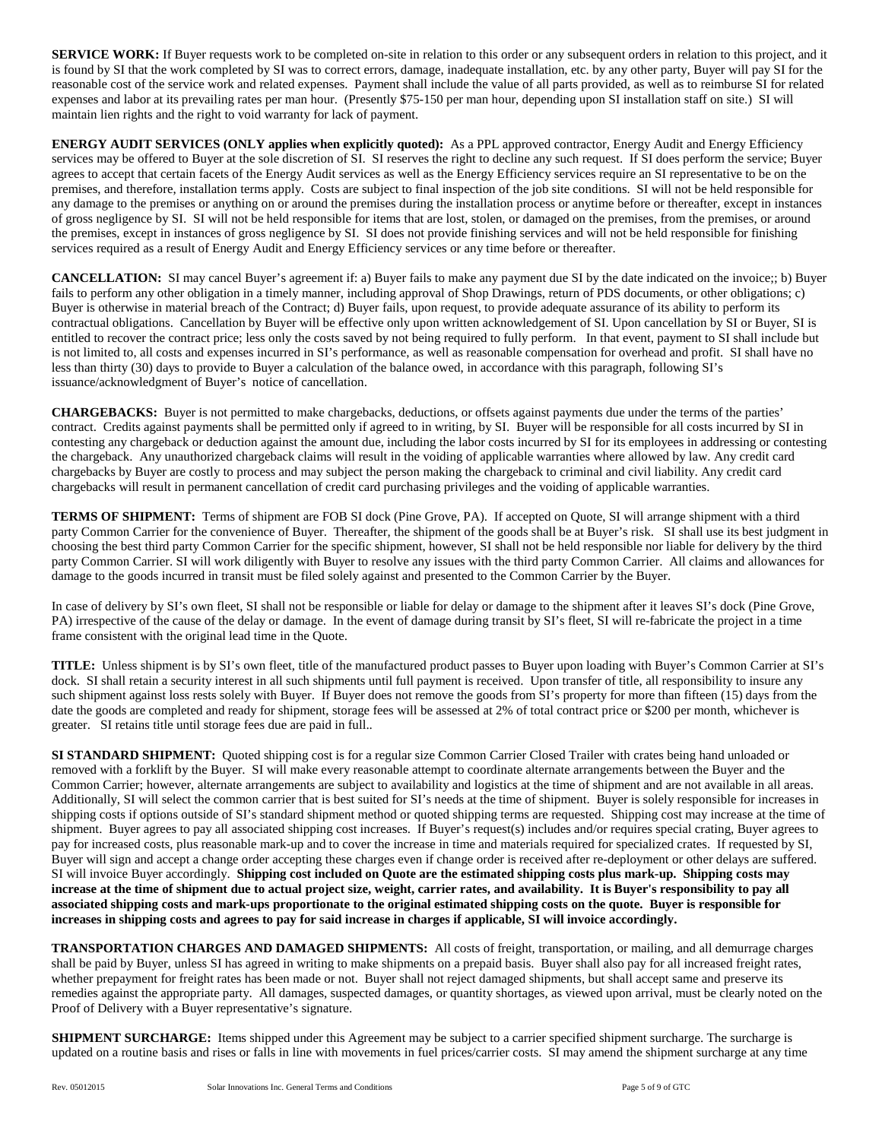**SERVICE WORK:** If Buyer requests work to be completed on-site in relation to this order or any subsequent orders in relation to this project, and it is found by SI that the work completed by SI was to correct errors, damage, inadequate installation, etc. by any other party, Buyer will pay SI for the reasonable cost of the service work and related expenses. Payment shall include the value of all parts provided, as well as to reimburse SI for related expenses and labor at its prevailing rates per man hour. (Presently \$75-150 per man hour, depending upon SI installation staff on site.) SI will maintain lien rights and the right to void warranty for lack of payment.

**ENERGY AUDIT SERVICES (ONLY applies when explicitly quoted):** As a PPL approved contractor, Energy Audit and Energy Efficiency services may be offered to Buyer at the sole discretion of SI. SI reserves the right to decline any such request. If SI does perform the service; Buyer agrees to accept that certain facets of the Energy Audit services as well as the Energy Efficiency services require an SI representative to be on the premises, and therefore, installation terms apply. Costs are subject to final inspection of the job site conditions. SI will not be held responsible for any damage to the premises or anything on or around the premises during the installation process or anytime before or thereafter, except in instances of gross negligence by SI. SI will not be held responsible for items that are lost, stolen, or damaged on the premises, from the premises, or around the premises, except in instances of gross negligence by SI. SI does not provide finishing services and will not be held responsible for finishing services required as a result of Energy Audit and Energy Efficiency services or any time before or thereafter.

**CANCELLATION:** SI may cancel Buyer's agreement if: a) Buyer fails to make any payment due SI by the date indicated on the invoice;; b) Buyer fails to perform any other obligation in a timely manner, including approval of Shop Drawings, return of PDS documents, or other obligations; c) Buyer is otherwise in material breach of the Contract; d) Buyer fails, upon request, to provide adequate assurance of its ability to perform its contractual obligations. Cancellation by Buyer will be effective only upon written acknowledgement of SI. Upon cancellation by SI or Buyer, SI is entitled to recover the contract price; less only the costs saved by not being required to fully perform. In that event, payment to SI shall include but is not limited to, all costs and expenses incurred in SI's performance, as well as reasonable compensation for overhead and profit. SI shall have no less than thirty (30) days to provide to Buyer a calculation of the balance owed, in accordance with this paragraph, following SI's issuance/acknowledgment of Buyer's notice of cancellation.

**CHARGEBACKS:** Buyer is not permitted to make chargebacks, deductions, or offsets against payments due under the terms of the parties' contract. Credits against payments shall be permitted only if agreed to in writing, by SI. Buyer will be responsible for all costs incurred by SI in contesting any chargeback or deduction against the amount due, including the labor costs incurred by SI for its employees in addressing or contesting the chargeback. Any unauthorized chargeback claims will result in the voiding of applicable warranties where allowed by law. Any credit card chargebacks by Buyer are costly to process and may subject the person making the chargeback to criminal and civil liability. Any credit card chargebacks will result in permanent cancellation of credit card purchasing privileges and the voiding of applicable warranties.

**TERMS OF SHIPMENT:** Terms of shipment are FOB SI dock (Pine Grove, PA). If accepted on Quote, SI will arrange shipment with a third party Common Carrier for the convenience of Buyer. Thereafter, the shipment of the goods shall be at Buyer's risk. SI shall use its best judgment in choosing the best third party Common Carrier for the specific shipment, however, SI shall not be held responsible nor liable for delivery by the third party Common Carrier. SI will work diligently with Buyer to resolve any issues with the third party Common Carrier. All claims and allowances for damage to the goods incurred in transit must be filed solely against and presented to the Common Carrier by the Buyer.

In case of delivery by SI's own fleet, SI shall not be responsible or liable for delay or damage to the shipment after it leaves SI's dock (Pine Grove, PA) irrespective of the cause of the delay or damage. In the event of damage during transit by SI's fleet, SI will re-fabricate the project in a time frame consistent with the original lead time in the Quote.

**TITLE:** Unless shipment is by SI's own fleet, title of the manufactured product passes to Buyer upon loading with Buyer's Common Carrier at SI's dock. SI shall retain a security interest in all such shipments until full payment is received. Upon transfer of title, all responsibility to insure any such shipment against loss rests solely with Buyer. If Buyer does not remove the goods from SI's property for more than fifteen (15) days from the date the goods are completed and ready for shipment, storage fees will be assessed at 2% of total contract price or \$200 per month, whichever is greater. SI retains title until storage fees due are paid in full..

**SI STANDARD SHIPMENT:** Quoted shipping cost is for a regular size Common Carrier Closed Trailer with crates being hand unloaded or removed with a forklift by the Buyer. SI will make every reasonable attempt to coordinate alternate arrangements between the Buyer and the Common Carrier; however, alternate arrangements are subject to availability and logistics at the time of shipment and are not available in all areas. Additionally, SI will select the common carrier that is best suited for SI's needs at the time of shipment. Buyer is solely responsible for increases in shipping costs if options outside of SI's standard shipment method or quoted shipping terms are requested. Shipping cost may increase at the time of shipment. Buyer agrees to pay all associated shipping cost increases. If Buyer's request(s) includes and/or requires special crating, Buyer agrees to pay for increased costs, plus reasonable mark-up and to cover the increase in time and materials required for specialized crates. If requested by SI, Buyer will sign and accept a change order accepting these charges even if change order is received after re-deployment or other delays are suffered. SI will invoice Buyer accordingly. **Shipping cost included on Quote are the estimated shipping costs plus mark-up. Shipping costs may increase at the time of shipment due to actual project size, weight, carrier rates, and availability. It is Buyer's responsibility to pay all associated shipping costs and mark-ups proportionate to the original estimated shipping costs on the quote. Buyer is responsible for increases in shipping costs and agrees to pay for said increase in charges if applicable, SI will invoice accordingly.**

**TRANSPORTATION CHARGES AND DAMAGED SHIPMENTS:** All costs of freight, transportation, or mailing, and all demurrage charges shall be paid by Buyer, unless SI has agreed in writing to make shipments on a prepaid basis. Buyer shall also pay for all increased freight rates, whether prepayment for freight rates has been made or not. Buyer shall not reject damaged shipments, but shall accept same and preserve its remedies against the appropriate party. All damages, suspected damages, or quantity shortages, as viewed upon arrival, must be clearly noted on the Proof of Delivery with a Buyer representative's signature.

**SHIPMENT SURCHARGE:** Items shipped under this Agreement may be subject to a carrier specified shipment surcharge. The surcharge is updated on a routine basis and rises or falls in line with movements in fuel prices/carrier costs. SI may amend the shipment surcharge at any time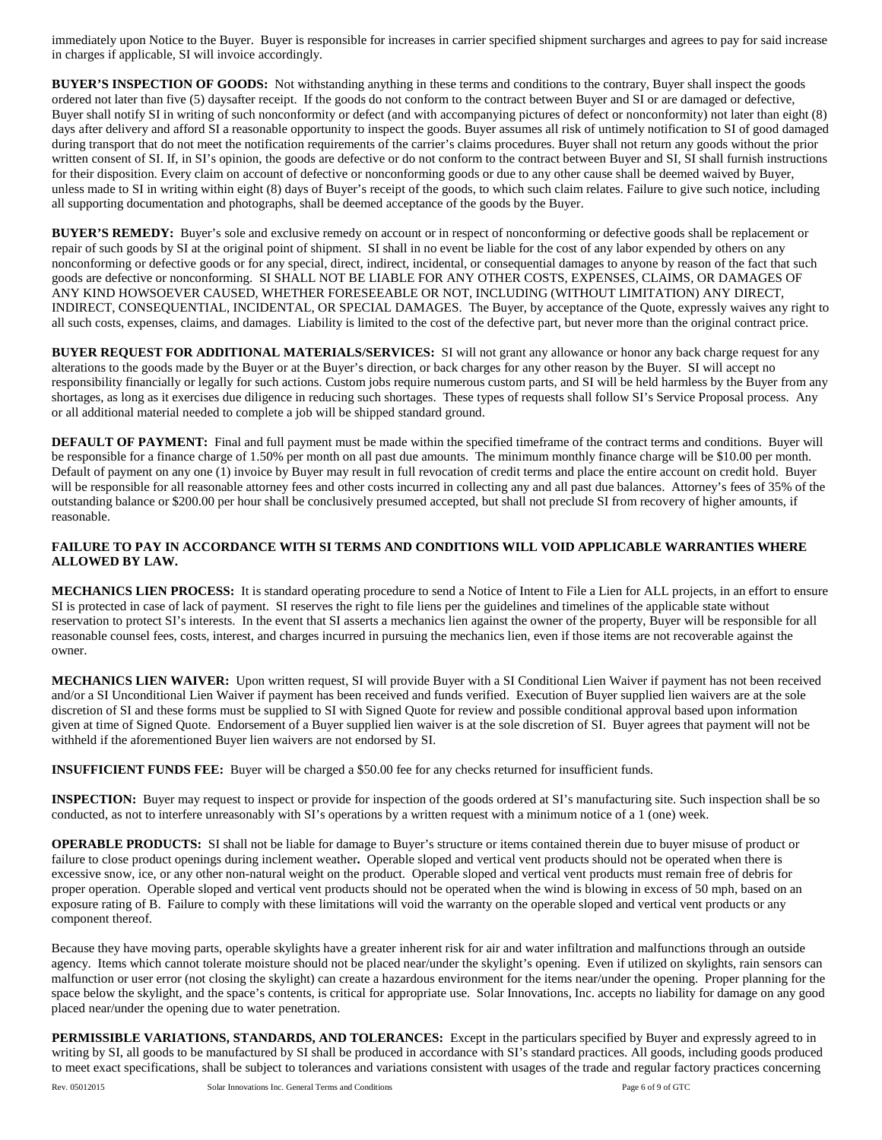immediately upon Notice to the Buyer. Buyer is responsible for increases in carrier specified shipment surcharges and agrees to pay for said increase in charges if applicable, SI will invoice accordingly.

**BUYER'S INSPECTION OF GOODS:** Not withstanding anything in these terms and conditions to the contrary, Buyer shall inspect the goods ordered not later than five (5) daysafter receipt. If the goods do not conform to the contract between Buyer and SI or are damaged or defective, Buyer shall notify SI in writing of such nonconformity or defect (and with accompanying pictures of defect or nonconformity) not later than eight (8) days after delivery and afford SI a reasonable opportunity to inspect the goods. Buyer assumes all risk of untimely notification to SI of good damaged during transport that do not meet the notification requirements of the carrier's claims procedures. Buyer shall not return any goods without the prior written consent of SI. If, in SI's opinion, the goods are defective or do not conform to the contract between Buyer and SI, SI shall furnish instructions for their disposition. Every claim on account of defective or nonconforming goods or due to any other cause shall be deemed waived by Buyer, unless made to SI in writing within eight (8) days of Buyer's receipt of the goods, to which such claim relates. Failure to give such notice, including all supporting documentation and photographs, shall be deemed acceptance of the goods by the Buyer.

**BUYER'S REMEDY:** Buyer's sole and exclusive remedy on account or in respect of nonconforming or defective goods shall be replacement or repair of such goods by SI at the original point of shipment. SI shall in no event be liable for the cost of any labor expended by others on any nonconforming or defective goods or for any special, direct, indirect, incidental, or consequential damages to anyone by reason of the fact that such goods are defective or nonconforming. SI SHALL NOT BE LIABLE FOR ANY OTHER COSTS, EXPENSES, CLAIMS, OR DAMAGES OF ANY KIND HOWSOEVER CAUSED, WHETHER FORESEEABLE OR NOT, INCLUDING (WITHOUT LIMITATION) ANY DIRECT, INDIRECT, CONSEQUENTIAL, INCIDENTAL, OR SPECIAL DAMAGES. The Buyer, by acceptance of the Quote, expressly waives any right to all such costs, expenses, claims, and damages. Liability is limited to the cost of the defective part, but never more than the original contract price.

**BUYER REQUEST FOR ADDITIONAL MATERIALS/SERVICES:** SI will not grant any allowance or honor any back charge request for any alterations to the goods made by the Buyer or at the Buyer's direction, or back charges for any other reason by the Buyer. SI will accept no responsibility financially or legally for such actions. Custom jobs require numerous custom parts, and SI will be held harmless by the Buyer from any shortages, as long as it exercises due diligence in reducing such shortages. These types of requests shall follow SI's Service Proposal process. Any or all additional material needed to complete a job will be shipped standard ground.

**DEFAULT OF PAYMENT:** Final and full payment must be made within the specified timeframe of the contract terms and conditions. Buyer will be responsible for a finance charge of 1.50% per month on all past due amounts. The minimum monthly finance charge will be \$10.00 per month. Default of payment on any one (1) invoice by Buyer may result in full revocation of credit terms and place the entire account on credit hold. Buyer will be responsible for all reasonable attorney fees and other costs incurred in collecting any and all past due balances. Attorney's fees of 35% of the outstanding balance or \$200.00 per hour shall be conclusively presumed accepted, but shall not preclude SI from recovery of higher amounts, if reasonable.

### **FAILURE TO PAY IN ACCORDANCE WITH SI TERMS AND CONDITIONS WILL VOID APPLICABLE WARRANTIES WHERE ALLOWED BY LAW.**

**MECHANICS LIEN PROCESS:** It is standard operating procedure to send a Notice of Intent to File a Lien for ALL projects, in an effort to ensure SI is protected in case of lack of payment. SI reserves the right to file liens per the guidelines and timelines of the applicable state without reservation to protect SI's interests. In the event that SI asserts a mechanics lien against the owner of the property, Buyer will be responsible for all reasonable counsel fees, costs, interest, and charges incurred in pursuing the mechanics lien, even if those items are not recoverable against the owner.

**MECHANICS LIEN WAIVER:** Upon written request, SI will provide Buyer with a SI Conditional Lien Waiver if payment has not been received and/or a SI Unconditional Lien Waiver if payment has been received and funds verified. Execution of Buyer supplied lien waivers are at the sole discretion of SI and these forms must be supplied to SI with Signed Quote for review and possible conditional approval based upon information given at time of Signed Quote. Endorsement of a Buyer supplied lien waiver is at the sole discretion of SI. Buyer agrees that payment will not be withheld if the aforementioned Buyer lien waivers are not endorsed by SI.

**INSUFFICIENT FUNDS FEE:** Buyer will be charged a \$50.00 fee for any checks returned for insufficient funds.

**INSPECTION:** Buyer may request to inspect or provide for inspection of the goods ordered at SI's manufacturing site. Such inspection shall be so conducted, as not to interfere unreasonably with SI's operations by a written request with a minimum notice of a 1 (one) week.

**OPERABLE PRODUCTS:** SI shall not be liable for damage to Buyer's structure or items contained therein due to buyer misuse of product or failure to close product openings during inclement weather**.** Operable sloped and vertical vent products should not be operated when there is excessive snow, ice, or any other non-natural weight on the product. Operable sloped and vertical vent products must remain free of debris for proper operation. Operable sloped and vertical vent products should not be operated when the wind is blowing in excess of 50 mph, based on an exposure rating of B. Failure to comply with these limitations will void the warranty on the operable sloped and vertical vent products or any component thereof.

Because they have moving parts, operable skylights have a greater inherent risk for air and water infiltration and malfunctions through an outside agency. Items which cannot tolerate moisture should not be placed near/under the skylight's opening. Even if utilized on skylights, rain sensors can malfunction or user error (not closing the skylight) can create a hazardous environment for the items near/under the opening. Proper planning for the space below the skylight, and the space's contents, is critical for appropriate use. Solar Innovations, Inc. accepts no liability for damage on any good placed near/under the opening due to water penetration.

**PERMISSIBLE VARIATIONS, STANDARDS, AND TOLERANCES:** Except in the particulars specified by Buyer and expressly agreed to in writing by SI, all goods to be manufactured by SI shall be produced in accordance with SI's standard practices. All goods, including goods produced to meet exact specifications, shall be subject to tolerances and variations consistent with usages of the trade and regular factory practices concerning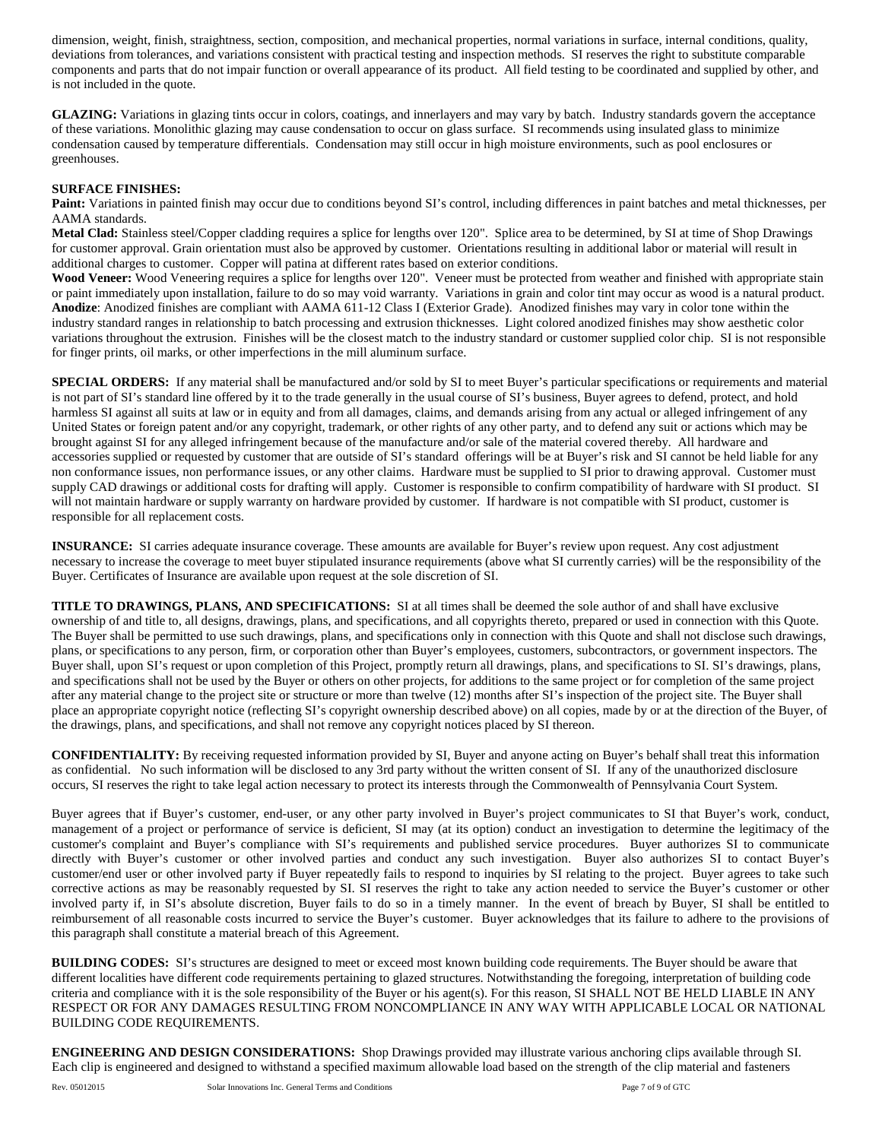dimension, weight, finish, straightness, section, composition, and mechanical properties, normal variations in surface, internal conditions, quality, deviations from tolerances, and variations consistent with practical testing and inspection methods. SI reserves the right to substitute comparable components and parts that do not impair function or overall appearance of its product. All field testing to be coordinated and supplied by other, and is not included in the quote.

**GLAZING:** Variations in glazing tints occur in colors, coatings, and innerlayers and may vary by batch. Industry standards govern the acceptance of these variations. Monolithic glazing may cause condensation to occur on glass surface. SI recommends using insulated glass to minimize condensation caused by temperature differentials. Condensation may still occur in high moisture environments, such as pool enclosures or greenhouses.

#### **SURFACE FINISHES:**

Paint: Variations in painted finish may occur due to conditions beyond SI's control, including differences in paint batches and metal thicknesses, per AAMA standards.

**Metal Clad:** Stainless steel/Copper cladding requires a splice for lengths over 120". Splice area to be determined, by SI at time of Shop Drawings for customer approval. Grain orientation must also be approved by customer. Orientations resulting in additional labor or material will result in additional charges to customer. Copper will patina at different rates based on exterior conditions.

**Wood Veneer:** Wood Veneering requires a splice for lengths over 120". Veneer must be protected from weather and finished with appropriate stain or paint immediately upon installation, failure to do so may void warranty. Variations in grain and color tint may occur as wood is a natural product. **Anodize**: Anodized finishes are compliant with AAMA 611-12 Class I (Exterior Grade). Anodized finishes may vary in color tone within the industry standard ranges in relationship to batch processing and extrusion thicknesses. Light colored anodized finishes may show aesthetic color variations throughout the extrusion. Finishes will be the closest match to the industry standard or customer supplied color chip. SI is not responsible for finger prints, oil marks, or other imperfections in the mill aluminum surface.

**SPECIAL ORDERS:** If any material shall be manufactured and/or sold by SI to meet Buyer's particular specifications or requirements and material is not part of SI's standard line offered by it to the trade generally in the usual course of SI's business, Buyer agrees to defend, protect, and hold harmless SI against all suits at law or in equity and from all damages, claims, and demands arising from any actual or alleged infringement of any United States or foreign patent and/or any copyright, trademark, or other rights of any other party, and to defend any suit or actions which may be brought against SI for any alleged infringement because of the manufacture and/or sale of the material covered thereby. All hardware and accessories supplied or requested by customer that are outside of SI's standard offerings will be at Buyer's risk and SI cannot be held liable for any non conformance issues, non performance issues, or any other claims. Hardware must be supplied to SI prior to drawing approval. Customer must supply CAD drawings or additional costs for drafting will apply. Customer is responsible to confirm compatibility of hardware with SI product. SI will not maintain hardware or supply warranty on hardware provided by customer. If hardware is not compatible with SI product, customer is responsible for all replacement costs.

**INSURANCE:** SI carries adequate insurance coverage. These amounts are available for Buyer's review upon request. Any cost adjustment necessary to increase the coverage to meet buyer stipulated insurance requirements (above what SI currently carries) will be the responsibility of the Buyer. Certificates of Insurance are available upon request at the sole discretion of SI.

**TITLE TO DRAWINGS, PLANS, AND SPECIFICATIONS:** SI at all times shall be deemed the sole author of and shall have exclusive ownership of and title to, all designs, drawings, plans, and specifications, and all copyrights thereto, prepared or used in connection with this Quote. The Buyer shall be permitted to use such drawings, plans, and specifications only in connection with this Quote and shall not disclose such drawings, plans, or specifications to any person, firm, or corporation other than Buyer's employees, customers, subcontractors, or government inspectors. The Buyer shall, upon SI's request or upon completion of this Project, promptly return all drawings, plans, and specifications to SI. SI's drawings, plans, and specifications shall not be used by the Buyer or others on other projects, for additions to the same project or for completion of the same project after any material change to the project site or structure or more than twelve (12) months after SI's inspection of the project site. The Buyer shall place an appropriate copyright notice (reflecting SI's copyright ownership described above) on all copies, made by or at the direction of the Buyer, of the drawings, plans, and specifications, and shall not remove any copyright notices placed by SI thereon.

**CONFIDENTIALITY:** By receiving requested information provided by SI, Buyer and anyone acting on Buyer's behalf shall treat this information as confidential. No such information will be disclosed to any 3rd party without the written consent of SI. If any of the unauthorized disclosure occurs, SI reserves the right to take legal action necessary to protect its interests through the Commonwealth of Pennsylvania Court System.

Buyer agrees that if Buyer's customer, end-user, or any other party involved in Buyer's project communicates to SI that Buyer's work, conduct, management of a project or performance of service is deficient, SI may (at its option) conduct an investigation to determine the legitimacy of the customer's complaint and Buyer's compliance with SI's requirements and published service procedures. Buyer authorizes SI to communicate directly with Buyer's customer or other involved parties and conduct any such investigation. Buyer also authorizes SI to contact Buyer's customer/end user or other involved party if Buyer repeatedly fails to respond to inquiries by SI relating to the project. Buyer agrees to take such corrective actions as may be reasonably requested by SI. SI reserves the right to take any action needed to service the Buyer's customer or other involved party if, in SI's absolute discretion, Buyer fails to do so in a timely manner. In the event of breach by Buyer, SI shall be entitled to reimbursement of all reasonable costs incurred to service the Buyer's customer. Buyer acknowledges that its failure to adhere to the provisions of this paragraph shall constitute a material breach of this Agreement.

**BUILDING CODES:** SI's structures are designed to meet or exceed most known building code requirements. The Buyer should be aware that different localities have different code requirements pertaining to glazed structures. Notwithstanding the foregoing, interpretation of building code criteria and compliance with it is the sole responsibility of the Buyer or his agent(s). For this reason, SI SHALL NOT BE HELD LIABLE IN ANY RESPECT OR FOR ANY DAMAGES RESULTING FROM NONCOMPLIANCE IN ANY WAY WITH APPLICABLE LOCAL OR NATIONAL BUILDING CODE REQUIREMENTS.

**ENGINEERING AND DESIGN CONSIDERATIONS:** Shop Drawings provided may illustrate various anchoring clips available through SI. Each clip is engineered and designed to withstand a specified maximum allowable load based on the strength of the clip material and fasteners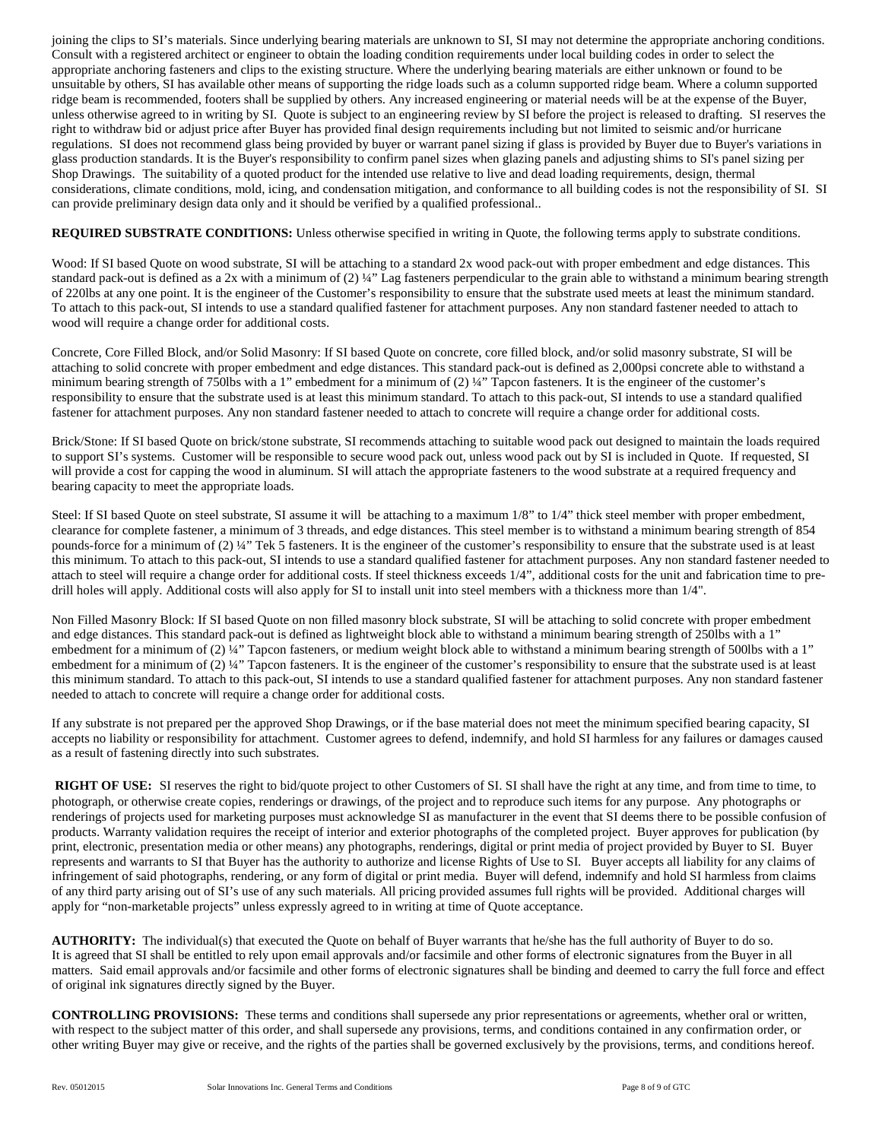joining the clips to SI's materials. Since underlying bearing materials are unknown to SI, SI may not determine the appropriate anchoring conditions. Consult with a registered architect or engineer to obtain the loading condition requirements under local building codes in order to select the appropriate anchoring fasteners and clips to the existing structure. Where the underlying bearing materials are either unknown or found to be unsuitable by others, SI has available other means of supporting the ridge loads such as a column supported ridge beam. Where a column supported ridge beam is recommended, footers shall be supplied by others. Any increased engineering or material needs will be at the expense of the Buyer, unless otherwise agreed to in writing by SI. Quote is subject to an engineering review by SI before the project is released to drafting. SI reserves the right to withdraw bid or adjust price after Buyer has provided final design requirements including but not limited to seismic and/or hurricane regulations. SI does not recommend glass being provided by buyer or warrant panel sizing if glass is provided by Buyer due to Buyer's variations in glass production standards. It is the Buyer's responsibility to confirm panel sizes when glazing panels and adjusting shims to SI's panel sizing per Shop Drawings.The suitability of a quoted product for the intended use relative to live and dead loading requirements, design, thermal considerations, climate conditions, mold, icing, and condensation mitigation, and conformance to all building codes is not the responsibility of SI. SI can provide preliminary design data only and it should be verified by a qualified professional..

**REQUIRED SUBSTRATE CONDITIONS:** Unless otherwise specified in writing in Quote, the following terms apply to substrate conditions.

Wood: If SI based Quote on wood substrate, SI will be attaching to a standard 2x wood pack-out with proper embedment and edge distances. This standard pack-out is defined as a 2x with a minimum of (2) ¼" Lag fasteners perpendicular to the grain able to withstand a minimum bearing strength of 220lbs at any one point. It is the engineer of the Customer's responsibility to ensure that the substrate used meets at least the minimum standard. To attach to this pack-out, SI intends to use a standard qualified fastener for attachment purposes. Any non standard fastener needed to attach to wood will require a change order for additional costs.

Concrete, Core Filled Block, and/or Solid Masonry: If SI based Quote on concrete, core filled block, and/or solid masonry substrate, SI will be attaching to solid concrete with proper embedment and edge distances. This standard pack-out is defined as 2,000psi concrete able to withstand a minimum bearing strength of 750lbs with a 1" embedment for a minimum of (2) ¼" Tapcon fasteners. It is the engineer of the customer's responsibility to ensure that the substrate used is at least this minimum standard. To attach to this pack-out, SI intends to use a standard qualified fastener for attachment purposes. Any non standard fastener needed to attach to concrete will require a change order for additional costs.

Brick/Stone: If SI based Quote on brick/stone substrate, SI recommends attaching to suitable wood pack out designed to maintain the loads required to support SI's systems. Customer will be responsible to secure wood pack out, unless wood pack out by SI is included in Quote. If requested, SI will provide a cost for capping the wood in aluminum. SI will attach the appropriate fasteners to the wood substrate at a required frequency and bearing capacity to meet the appropriate loads.

Steel: If SI based Quote on steel substrate, SI assume it will be attaching to a maximum 1/8" to 1/4" thick steel member with proper embedment, clearance for complete fastener, a minimum of 3 threads, and edge distances. This steel member is to withstand a minimum bearing strength of 854 pounds-force for a minimum of (2) ¼" Tek 5 fasteners. It is the engineer of the customer's responsibility to ensure that the substrate used is at least this minimum. To attach to this pack-out, SI intends to use a standard qualified fastener for attachment purposes. Any non standard fastener needed to attach to steel will require a change order for additional costs. If steel thickness exceeds 1/4", additional costs for the unit and fabrication time to predrill holes will apply. Additional costs will also apply for SI to install unit into steel members with a thickness more than 1/4".

Non Filled Masonry Block: If SI based Quote on non filled masonry block substrate, SI will be attaching to solid concrete with proper embedment and edge distances. This standard pack-out is defined as lightweight block able to withstand a minimum bearing strength of 250lbs with a 1" embedment for a minimum of (2) ¼" Tapcon fasteners, or medium weight block able to withstand a minimum bearing strength of 500lbs with a 1" embedment for a minimum of (2) ¼" Tapcon fasteners. It is the engineer of the customer's responsibility to ensure that the substrate used is at least this minimum standard. To attach to this pack-out, SI intends to use a standard qualified fastener for attachment purposes. Any non standard fastener needed to attach to concrete will require a change order for additional costs.

If any substrate is not prepared per the approved Shop Drawings, or if the base material does not meet the minimum specified bearing capacity, SI accepts no liability or responsibility for attachment. Customer agrees to defend, indemnify, and hold SI harmless for any failures or damages caused as a result of fastening directly into such substrates.

**RIGHT OF USE:** SI reserves the right to bid/quote project to other Customers of SI. SI shall have the right at any time, and from time to time, to photograph, or otherwise create copies, renderings or drawings, of the project and to reproduce such items for any purpose. Any photographs or renderings of projects used for marketing purposes must acknowledge SI as manufacturer in the event that SI deems there to be possible confusion of products. Warranty validation requires the receipt of interior and exterior photographs of the completed project. Buyer approves for publication (by print, electronic, presentation media or other means) any photographs, renderings, digital or print media of project provided by Buyer to SI. Buyer represents and warrants to SI that Buyer has the authority to authorize and license Rights of Use to SI. Buyer accepts all liability for any claims of infringement of said photographs, rendering, or any form of digital or print media. Buyer will defend, indemnify and hold SI harmless from claims of any third party arising out of SI's use of any such materials. All pricing provided assumes full rights will be provided. Additional charges will apply for "non-marketable projects" unless expressly agreed to in writing at time of Quote acceptance.

**AUTHORITY:** The individual(s) that executed the Quote on behalf of Buyer warrants that he/she has the full authority of Buyer to do so. It is agreed that SI shall be entitled to rely upon email approvals and/or facsimile and other forms of electronic signatures from the Buyer in all matters. Said email approvals and/or facsimile and other forms of electronic signatures shall be binding and deemed to carry the full force and effect of original ink signatures directly signed by the Buyer.

**CONTROLLING PROVISIONS:** These terms and conditions shall supersede any prior representations or agreements, whether oral or written, with respect to the subject matter of this order, and shall supersede any provisions, terms, and conditions contained in any confirmation order, or other writing Buyer may give or receive, and the rights of the parties shall be governed exclusively by the provisions, terms, and conditions hereof.